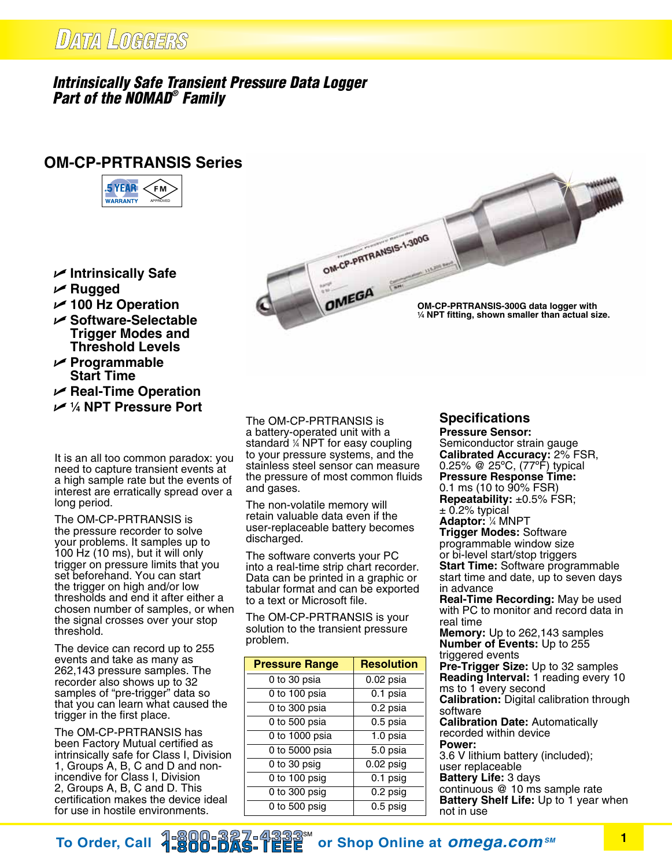DATA LOGGERS

## *Intrinsically Safe Transient Pressure Data Logger Part of the NOMAD® Family*

## **OM-CP-PRTRANSIS Series**



- **∠** Intrinsically Safe
- **∠** Rugged
- U **100 Hz Operation**
- U **Software-Selectable Trigger Modes and Threshold Levels**
- U **Programmable Start Time**
- $⊯$  **Real-Time Operation**
- U **<sup>1</sup> ⁄4 NPT Pressure Port**

It is an all too common paradox: you need to capture transient events at a high sample rate but the events of interest are erratically spread over a long period.

The OM-CP-PRTRANSIS is the pressure recorder to solve your problems. It samples up to 100 Hz (10 ms), but it will only trigger on pressure limits that you set beforehand. You can start the trigger on high and/or low thresholds and end it after either a chosen number of samples, or when the signal crosses over your stop threshold.

The device can record up to 255 events and take as many as 262,143 pressure samples. The recorder also shows up to 32 samples of "pre-trigger" data so that you can learn what caused the trigger in the first place.

The OM-CP-PRTRANSIS has been Factory Mutual certified as intrinsically safe for Class I, Division 1, Groups A, B, C and D and nonincendive for Class I, Division 2, Groups A, B, C and D. This certification makes the device ideal for use in hostile environments.

The OM-CP-PRTRANSIS is a battery-operated unit with a standard 1/4 NPT for easy coupling to your pressure systems, and the stainless steel sensor can measure the pressure of most common fluids and gases.

The non-volatile memory will retain valuable data even if the user-replaceable battery becomes discharged.

The software converts your PC into a real-time strip chart recorder. Data can be printed in a graphic or tabular format and can be exported to a text or Microsoft file.

The OM-CP-PRTRANSIS is your solution to the transient pressure problem.

| <b>Pressure Range</b>       | <b>Resolution</b> |
|-----------------------------|-------------------|
| 0 to 30 psia                | $0.02$ psia       |
| $\overline{0}$ to 100 psia  | 0.1 psia          |
| $0$ to 300 psia             | 0.2 psia          |
| $\overline{0}$ to 500 psia  | 0.5 psia          |
| $\overline{0}$ to 1000 psia | 1.0 psia          |
| 0 to 5000 psia              | 5.0 psia          |
| 0 to 30 psig                | $0.02$ psig       |
| $\overline{0}$ to 100 psig  | $0.1$ psig        |
| $\overline{0}$ to 300 psig  | $0.2$ psig        |
| 0 to $500$ psig             | $0.5$ psig        |

## **Specifications**

**Pressure Sensor:** Semiconductor strain gauge **Calibrated Accuracy:** 2% FSR, 0.25% @ 25ºC, (77ºF) typical **Pressure Response Time:** 0.1 ms (10 to 90% FSR) **Repeatability:** ±0.5% FSR;  $± 0.2%$  typical **Adaptor:** <sup>1</sup> ⁄4 MNPT **Trigger Modes:** Software programmable window size or bi-level start/stop triggers **Start Time:** Software programmable start time and date, up to seven days in advance **Real-Time Recording:** May be used with PC to monitor and record data in real time **Memory:** Up to 262,143 samples **Number of Events:** Up to 255 triggered events **Pre-Trigger Size:** Up to 32 samples **Reading Interval:** 1 reading every 10 ms to 1 every second **Calibration:** Digital calibration through software **Calibration Date:** Automatically recorded within device **Power:** 3.6 V lithium battery (included); user replaceable **Battery Life:** 3 days continuous @ 10 ms sample rate **Battery Shelf Life:** Up to 1 year when not in use